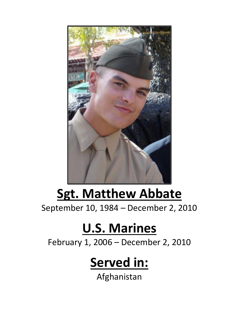

## **Sgt. Matthew Abbate**

September 10, 1984 – December 2, 2010

## **U.S. Marines**

February 1, 2006 – December 2, 2010

## **Served in:**

Afghanistan